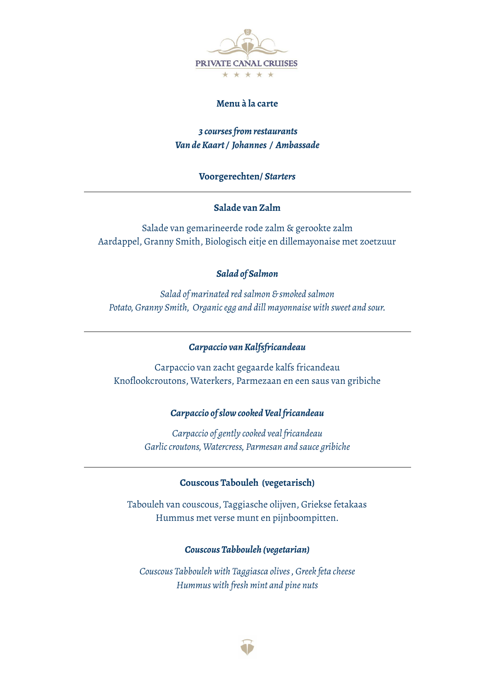

## **Menu à la carte**

## *3 coursesfromrestaurants Van deKaart/ Johannes / Ambassade*

## **Voorgerechten/** *Starters*

## **Salade van Zalm**

Salade van gemarineerde rode zalm & gerookte zalm Aardappel, Granny Smith, Biologisch eitje en dillemayonaise met zoetzuur

## *Salad of Salmon*

*Salad of marinated red salmon & smoked salmon Potato, Granny Smith, Organicegg and dill mayonnaise with sweet and sour.*

### *Carpaccio vanKalfsfricandeau*

Carpaccio van zacht gegaarde kalfs fricandeau Knoflookcroutons, Waterkers, Parmezaan en een saus van gribiche

### *Carpaccio ofslowcookedVeal fricandeau*

*Carpaccio of gently cooked veal fricandeau Garliccroutons, Watercress, Parmesan and sauce gribiche*

## **Couscous Tabouleh (vegetarisch)**

Tabouleh van couscous, Taggiasche olijven, Griekse fetakaas Hummus met verse munt en pijnboompitten.

#### *Couscous Tabbouleh (vegetarian)*

*Couscous Tabbouleh with Taggiasca olives, Greek feta cheese Hummus with fresh mint and pine nuts*

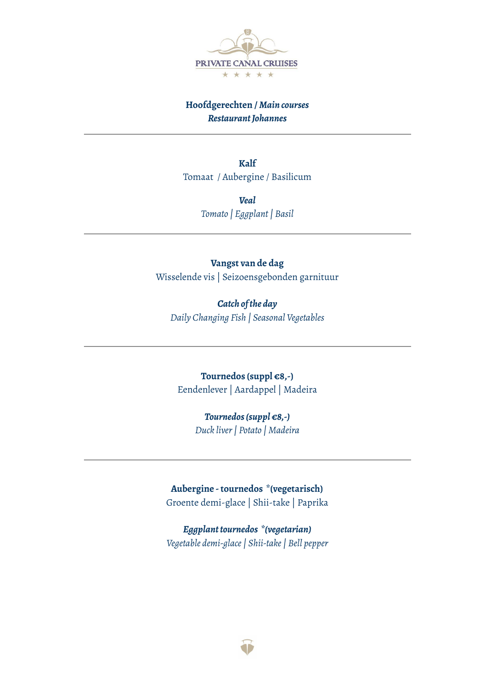

# **Hoofdgerechten /** *Main courses RestaurantJohannes*

**Kalf** Tomaat / Aubergine / Basilicum

> *Veal Tomato | Eggplant| Basil*

## **Vangst van de dag**

Wisselende vis | Seizoensgebonden garnituur

*Catch ofthe day Daily Changing Fish | Seasonal Vegetables*

**Tournedos (suppl €8,-)** Eendenlever | Aardappel | Madeira

## *Tournedos(suppl €8,-)*

*Duck liver| Potato | Madeira*

**Aubergine -tournedos \*(vegetarisch)** Groente demi-glace | Shii-take | Paprika

*Eggplanttournedos \*(vegetarian) Vegetable demi-glace| Shii-take| Bell pepper*